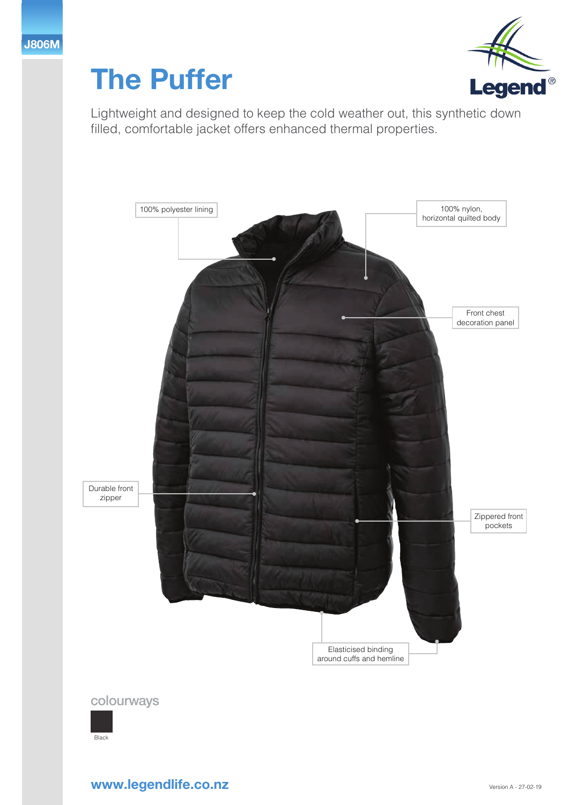



Lightweight and designed to keep the cold weather out, this synthetic down filled, comfortable jacket offers enhanced thermal properties.



## **www.legendlife.co.nz**